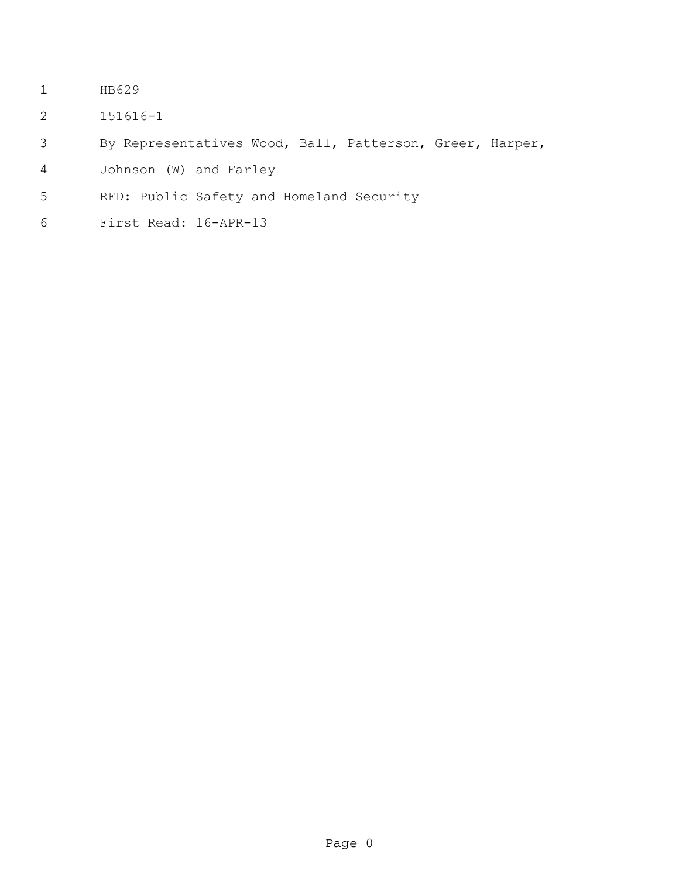- HB629
- 151616-1
- By Representatives Wood, Ball, Patterson, Greer, Harper,
- Johnson (W) and Farley
- RFD: Public Safety and Homeland Security
- First Read: 16-APR-13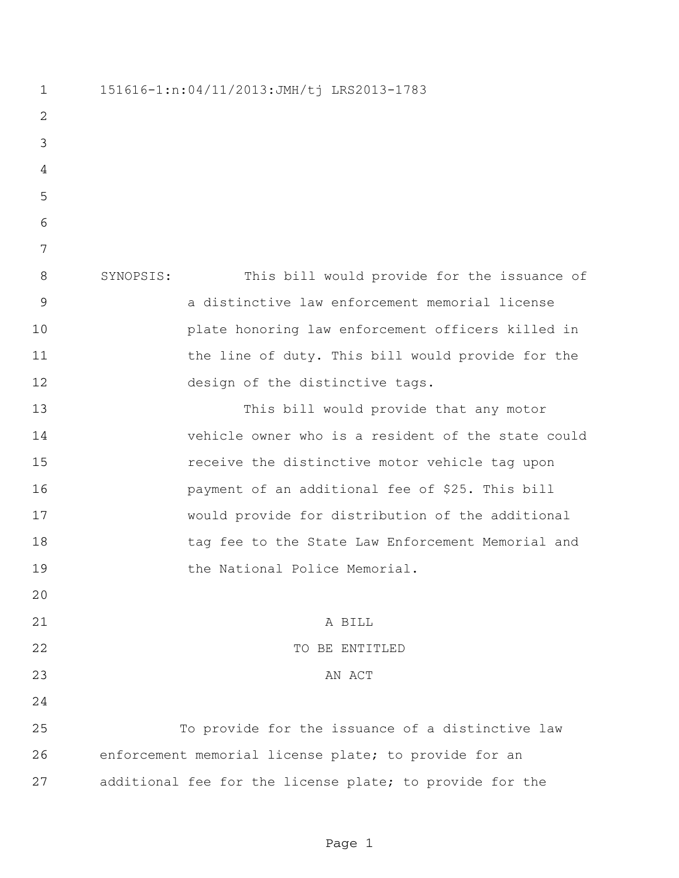151616-1:n:04/11/2013:JMH/tj LRS2013-1783 SYNOPSIS: This bill would provide for the issuance of a distinctive law enforcement memorial license plate honoring law enforcement officers killed in 11 the line of duty. This bill would provide for the 12 design of the distinctive tags. This bill would provide that any motor vehicle owner who is a resident of the state could receive the distinctive motor vehicle tag upon payment of an additional fee of \$25. This bill would provide for distribution of the additional 18 tag fee to the State Law Enforcement Memorial and 19 the National Police Memorial. A BILL 22 TO BE ENTITLED 23 AN ACT To provide for the issuance of a distinctive law enforcement memorial license plate; to provide for an additional fee for the license plate; to provide for the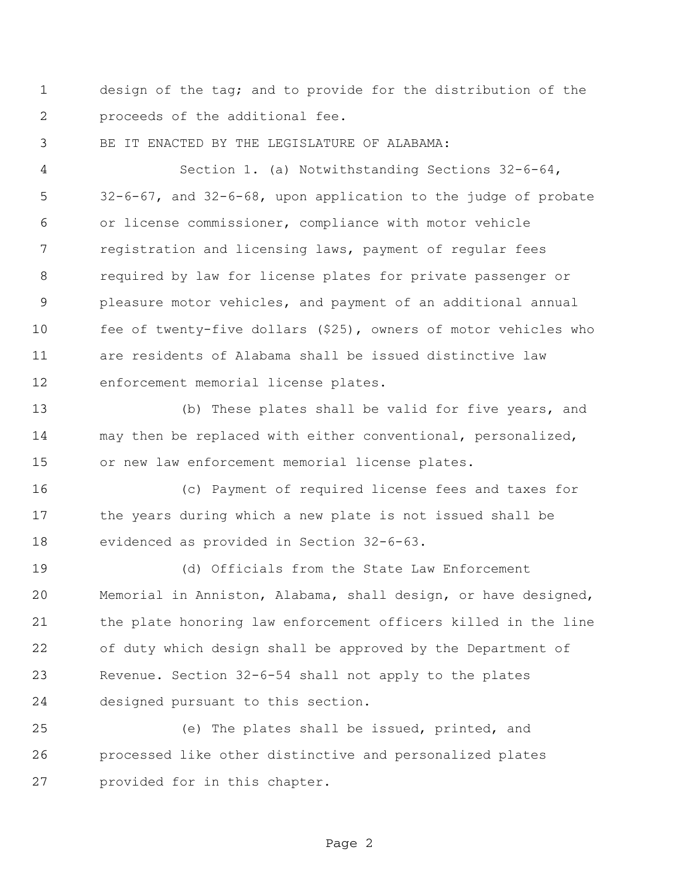design of the tag; and to provide for the distribution of the proceeds of the additional fee.

BE IT ENACTED BY THE LEGISLATURE OF ALABAMA:

 Section 1. (a) Notwithstanding Sections 32-6-64, 32-6-67, and 32-6-68, upon application to the judge of probate or license commissioner, compliance with motor vehicle registration and licensing laws, payment of regular fees required by law for license plates for private passenger or pleasure motor vehicles, and payment of an additional annual fee of twenty-five dollars (\$25), owners of motor vehicles who are residents of Alabama shall be issued distinctive law enforcement memorial license plates.

 (b) These plates shall be valid for five years, and may then be replaced with either conventional, personalized, or new law enforcement memorial license plates.

 (c) Payment of required license fees and taxes for the years during which a new plate is not issued shall be evidenced as provided in Section 32-6-63.

 (d) Officials from the State Law Enforcement Memorial in Anniston, Alabama, shall design, or have designed, the plate honoring law enforcement officers killed in the line of duty which design shall be approved by the Department of Revenue. Section 32-6-54 shall not apply to the plates designed pursuant to this section.

 (e) The plates shall be issued, printed, and processed like other distinctive and personalized plates provided for in this chapter.